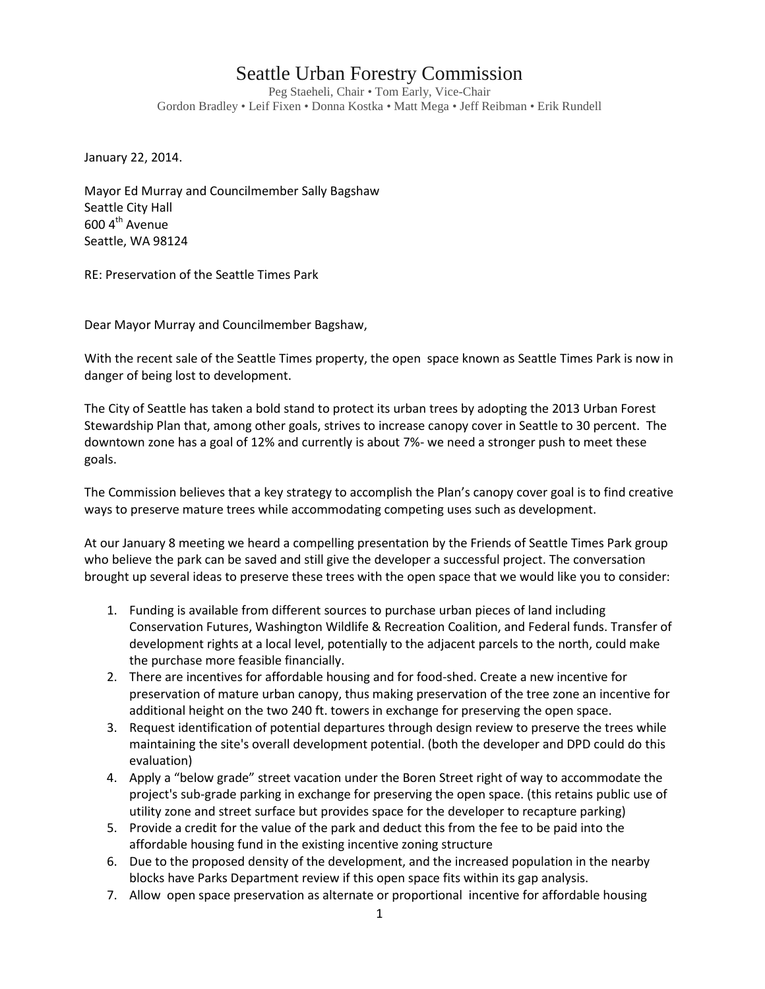## Seattle Urban Forestry Commission

Peg Staeheli, Chair • Tom Early, Vice-Chair Gordon Bradley • Leif Fixen • Donna Kostka • Matt Mega • Jeff Reibman • Erik Rundell

January 22, 2014.

Mayor Ed Murray and Councilmember Sally Bagshaw Seattle City Hall 600 4<sup>th</sup> Avenue Seattle, WA 98124

RE: Preservation of the Seattle Times Park

Dear Mayor Murray and Councilmember Bagshaw,

With the recent sale of the Seattle Times property, the open space known as Seattle Times Park is now in danger of being lost to development.

The City of Seattle has taken a bold stand to protect its urban trees by adopting the 2013 Urban Forest Stewardship Plan that, among other goals, strives to increase canopy cover in Seattle to 30 percent. The downtown zone has a goal of 12% and currently is about 7%- we need a stronger push to meet these goals.

The Commission believes that a key strategy to accomplish the Plan's canopy cover goal is to find creative ways to preserve mature trees while accommodating competing uses such as development.

At our January 8 meeting we heard a compelling presentation by the Friends of Seattle Times Park group who believe the park can be saved and still give the developer a successful project. The conversation brought up several ideas to preserve these trees with the open space that we would like you to consider:

- 1. Funding is available from different sources to purchase urban pieces of land including Conservation Futures, Washington Wildlife & Recreation Coalition, and Federal funds. Transfer of development rights at a local level, potentially to the adjacent parcels to the north, could make the purchase more feasible financially.
- 2. There are incentives for affordable housing and for food-shed. Create a new incentive for preservation of mature urban canopy, thus making preservation of the tree zone an incentive for additional height on the two 240 ft. towers in exchange for preserving the open space.
- 3. Request identification of potential departures through design review to preserve the trees while maintaining the site's overall development potential. (both the developer and DPD could do this evaluation)
- 4. Apply a "below grade" street vacation under the Boren Street right of way to accommodate the project's sub-grade parking in exchange for preserving the open space. (this retains public use of utility zone and street surface but provides space for the developer to recapture parking)
- 5. Provide a credit for the value of the park and deduct this from the fee to be paid into the affordable housing fund in the existing incentive zoning structure
- 6. Due to the proposed density of the development, and the increased population in the nearby blocks have Parks Department review if this open space fits within its gap analysis.
- 7. Allow open space preservation as alternate or proportional incentive for affordable housing